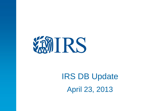

# IRS DB Update April 23, 2013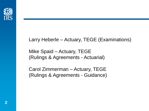

#### Larry Heberle – Actuary, TEGE (Examinations)

Mike Spaid – Actuary, TEGE (Rulings & Agreements - Actuarial)

Carol Zimmerman – Actuary, TEGE (Rulings & Agreements - Guidance)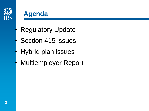

#### **Agenda**

- **Regulatory Update**
- Section 415 issues
- Hybrid plan issues
- Multiemployer Report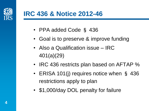

#### **IRC 436 & Notice 2012-46**

- PPA added Code § 436
- Goal is to preserve & improve funding
- Also a Qualification issue IRC 401(a)(29)
- IRC 436 restricts plan based on AFTAP %
- ERISA 101(j) requires notice when § 436 restrictions apply to plan
- \$1,000/day DOL penalty for failure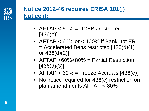

#### **Notice 2012-46 requires ERISA 101(j) Notice if:**

- AFTAP < 60% = UCEBs restricted [436(b)]
- AFTAP < 60% or < 100% if Bankrupt ER = Accelerated Bens restricted [436(d)(1) or 436(d)(2)]
- AFTAP >60%<80% = Partial Restriction [436(d)(3)]
- AFTAP  $< 60\%$  = Freeze Accruals [436(e)]
- No notice required for 436(c) restriction on plan amendments AFTAP < 80%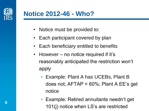

#### **Notice 2012-46 - Who?**

- Notice must be provided to:
- Each participant covered by plan
- Each beneficiary entitled to benefits
- However no notice required if it's reasonably anticipated the restriction won't apply
	- Example: Plant A has UCEBs, Plant B does not; AFTAP < 60%; Plant A EE's get notice
	- Example: Retired annuitants needn't get 101(j) notice when LS's are restricted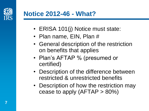

#### **Notice 2012-46 - What?**

- ERISA 101(j) Notice must state:
- Plan name, EIN, Plan #
- General description of the restriction on benefits that applies
- Plan's AFTAP % (presumed or certified)
- Description of the difference between restricted & unrestricted benefits
- Description of how the restriction may cease to apply  $(AFTAP > 80\%)$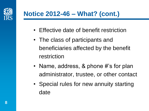

# **Notice 2012-46 – What? (cont.)**

- Effective date of benefit restriction
- The class of participants and beneficiaries affected by the benefit restriction
- Name, address, & phone #'s for plan administrator, trustee, or other contact
- Special rules for new annuity starting date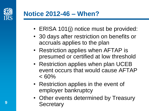

### **Notice 2012-46 – When?**

- ERISA 101(j) notice must be provided:
- 30 days after restriction on benefits or accruals applies to the plan
- Restriction applies when AFTAP is presumed or certified at low threshold
- Restriction applies when plan UCEB event occurs that would cause AFTAP  $< 60\%$
- Restriction applies in the event of employer bankruptcy
- Other events determined by Treasury **Secretary**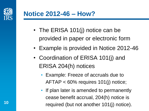

#### **Notice 2012-46 – How?**

- The ERISA 101(j) notice can be provided in paper or electronic form
- Example is provided in Notice 2012-46
- Coordination of ERISA 101(j) and ERISA 204(h) notices
	- Example: Freeze of accruals due to AFTAP < 60% requires 101(j) notice;
	- If plan later is amended to permanently cease benefit accrual, 204(h) notice is required (but not another 101(j) notice).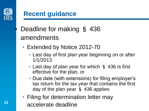

**11**

#### **Recent guidance**

- Deadline for making § 436 amendments
	- Extended by Notice 2012-70
		- Last day of first plan year beginning on or after 1/1/2013
		- Last day of plan year for which § 436 is first effective for the plan, or
		- Due date (with extensions) for filing employer's tax return for the tax year that contains the first day of the plan year § 436 applies
	- Filing for determination letter may accelerate deadline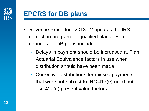

### **EPCRS for DB plans**

- Revenue Procedure 2013-12 updates the IRS correction program for qualified plans. Some changes for DB plans include:
	- Delays in payment should be increased at Plan Actuarial Equivalence factors in use when distribution should have been made;
	- Corrective distributions for missed payments that were not subject to IRC 417(e) need not use 417(e) present value factors.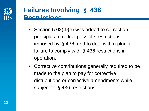

#### **Failures Involving** § **436 Restrictions**

- Section 6.02(4)(e) was added to correction principles to reflect possible restrictions imposed by §436, and to deal with a plan's failure to comply with §436 restrictions in operation.
- Corrective contributions generally required to be made to the plan to pay for corrective distributions or corrective amendments while subject to §436 restrictions.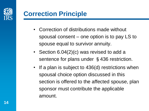

### **Correction Principle**

- Correction of distributions made without spousal consent – one option is to pay LS to spouse equal to survivor annuity.
- Section 6.04(2)(c) was revised to add a sentence for plans under §436 restriction.
- If a plan is subject to 436(d) restrictions when spousal choice option discussed in this section is offered to the affected spouse, plan sponsor must contribute the applicable amount.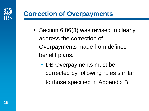

### **Correction of Overpayments**

- Section 6.06(3) was revised to clearly address the correction of Overpayments made from defined benefit plans.
	- DB Overpayments must be corrected by following rules similar to those specified in Appendix B.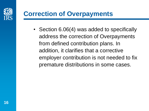

### **Correction of Overpayments**

• Section 6.06(4) was added to specifically address the correction of Overpayments from defined contribution plans. In addition, it clarifies that a corrective employer contribution is not needed to fix premature distributions in some cases.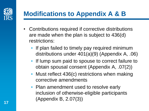

## **Modifications to Appendix A & B**

- Contributions required if corrective distributions are made when the plan is subject to 436(d) restrictions:
	- If plan failed to timely pay required minimum distributions under 401(a)(9) (Appendix A, .06)
	- If lump sum paid to spouse to correct failure to obtain spousal consent (Appendix A, .07(2))
	- Must reflect 436(c) restrictions when making corrective amendments
	- Plan amendment used to resolve early inclusion of otherwise-eligible participants (Appendix B, 2.07(3))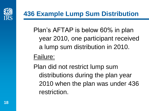

Plan's AFTAP is below 60% in plan year 2010, one participant received a lump sum distribution in 2010.

#### Failure:

Plan did not restrict lump sum distributions during the plan year 2010 when the plan was under 436 restriction.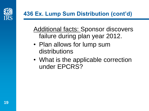

#### **436 Ex. Lump Sum Distribution (cont'd)**

Additional facts: Sponsor discovers failure during plan year 2012.

- Plan allows for lump sum distributions
- What is the applicable correction under EPCRS?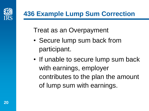

# **436 Example Lump Sum Correction**

Treat as an Overpayment

- Secure lump sum back from participant.
- If unable to secure lump sum back with earnings, employer contributes to the plan the amount of lump sum with earnings.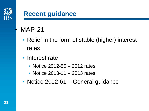

### • MAP-21

- Relief in the form of stable (higher) interest rates
- Interest rate
	- Notice 2012-55 2012 rates
	- Notice 2013-11 2013 rates
- Notice 2012-61 General guidance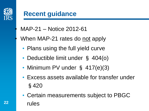

- MAP-21 Notice 2012-61
- When MAP-21 rates do not apply
	- Plans using the full yield curve
	- Deductible limit under § 404(o)
	- Minimum PV under § 417(e)(3)
	- Excess assets available for transfer under §420
	- Certain measurements subject to PBGC rules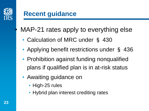

### MAP-21 rates apply to everything else

- Calculation of MRC under § 430
- Applying benefit restrictions under § 436
- Prohibition against funding nonqualified plans if qualified plan is in at-risk status
- Awaiting guidance on
	- High-25 rules
	- Hybrid plan interest crediting rates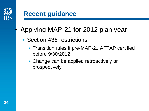

- Section 436 restrictions
	- Transition rules if pre-MAP-21 AFTAP certified before 9/30/2012
	- Change can be applied retroactively or prospectively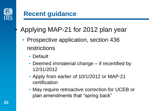

- Prospective application, section 436 restrictions
	- Default
	- Deemed immaterial change if recertified by 12/31/2012
	- Apply from earlier of 10/1/2012 or MAP-21 certification
	- May require retroactive correction for UCEB or plan amendments that "spring back"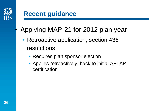

- Retroactive application, section 436 restrictions
	- Requires plan sponsor election
	- Applies retroactively, back to initial AFTAP certification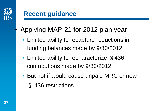

- Limited ability to recapture reductions in funding balances made by 9/30/2012
- Limited ability to recharacterize §436 contributions made by 9/30/2012
- But not if would cause unpaid MRC or new § 436 restrictions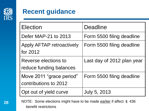

| <b>Election</b>                                   | <b>Deadline</b>            |
|---------------------------------------------------|----------------------------|
| Defer MAP-21 to 2013                              | Form 5500 filing deadline  |
| <b>Apply AFTAP retroactively</b><br>for 2012      | Form 5500 filing deadline  |
| Reverse elections to<br>reduce funding balances   | Last day of 2012 plan year |
| Move 2011 "grace period"<br>contributions to 2012 | Form 5500 filing deadline  |
| Opt out of yield curve                            | <b>July 5, 2013</b>        |

NOTE: Some elections might have to be made earlier if affect § 436 benefit restrictions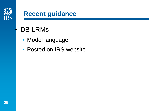

# DB LRMs

- Model language
- Posted on IRS website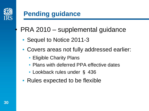

# • PRA 2010 – supplemental guidance

- Sequel to Notice 2011-3
- Covers areas not fully addressed earlier:
	- Eligible Charity Plans
	- Plans with deferred PPA effective dates
	- Lookback rules under § 436
- Rules expected to be flexible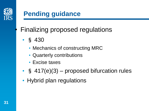

# • Finalizing proposed regulations

- § 430
	- Mechanics of constructing MRC
	- Quarterly contributions
	- Excise taxes
- $\S$  417(e)(3) proposed bifurcation rules
- Hybrid plan regulations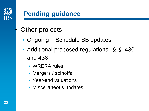

### **Other projects**

- Ongoing Schedule SB updates
- Additional proposed regulations, § § 430 and 436
	- WRERA rules
	- Mergers / spinoffs
	- Year-end valuations
	- Miscellaneous updates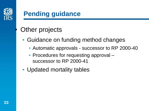

# **Other projects**

- Guidance on funding method changes
	- Automatic approvals successor to RP 2000-40
	- Procedures for requesting approval successor to RP 2000-41
- Updated mortality tables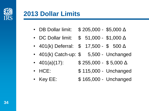

#### **2013 Dollar Limits**

- DB Dollar limit: \$ 205,000 \$5,000 Δ
- DC Dollar limit: \$ 51,000 \$1,000 Δ
- 401(k) Deferral:  $$ 17,500 $ 500 \Delta$
- 401(k) Catch-up: \$ 5,500 Unchanged
- 401(a)(17):  $$255,000 $5,000 \Delta$
- HCE: \$115,000 Unchanged
- Key EE: \$165,000 Unchanged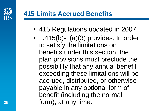

### **415 Limits Accrued Benefits**

- 415 Regulations updated in 2007
- 1.415 $(b)$ -1 $(a)(3)$  provides: In order to satisfy the limitations on benefits under this section, the plan provisions must preclude the possibility that any annual benefit exceeding these limitations will be accrued, distributed, or otherwise payable in any optional form of benefit (including the normal form), at any time.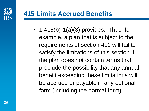

### **415 Limits Accrued Benefits**

• 1.415 $(b)$ -1 $(a)(3)$  provides: Thus, for example, a plan that is subject to the requirements of section 411 will fail to satisfy the limitations of this section if the plan does not contain terms that preclude the possibility that any annual benefit exceeding these limitations will be accrued or payable in any optional form (including the normal form).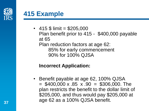

#### **415 Example**

• 415  $$$  limit = \$205,000 Plan benefit prior to 415 - \$400,000 payable at 65 Plan reduction factors at age 62: 85% for early commencement 90% for 100% QJSA

#### **Incorrect Application:**

• Benefit payable at age 62, 100% QJSA  $=$  \$400,000 x .85 x .90 = \$306,000. The plan restricts the benefit to the dollar limit of \$205,000, and thus would pay \$205,000 at age 62 as a 100% QJSA benefit.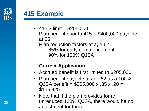

#### **415 Example**

• 415  $$$  limit = \$205,000 Plan benefit prior to 415 - \$400,000 payable at 65 Plan reduction factors at age 62: 85% for early commencement 90% for 100% QJSA

#### **Correct Application:**

- Accrued benefit is first limited to \$205,000.
- Plan benefit payable at age 62 as a 100%  $QJSA$  benefit =  $$205,000 \times .85 \times .90 =$ \$156,825
- Note that if the plan provides for an unreduced 100% QJSA, there would be no adjustment for form.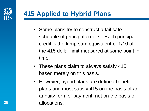

- Some plans try to construct a fail safe schedule of principal credits. Each principal credit is the lump sum equivalent of 1/10 of the 415 dollar limit measured at some point in time.
- These plans claim to always satisfy 415 based merely on this basis.
- However, hybrid plans are defined benefit plans and must satisfy 415 on the basis of an annuity form of payment, not on the basis of allocations.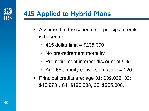

- Assume that the schedule of principal credits is based on:
	- 415 dollar limit  $= $205,000$
	- No pre-retirement mortality
	- Pre-retirement interest discount of 5%
	- Age 65 annuity conversion factor  $= 120$
- Principal credits are: age 31; \$39,022, 32; \$40,973…64; \$195,238, 65; \$205,000.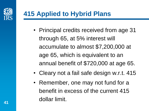

- Principal credits received from age 31 through 65, at 5% interest will accumulate to almost \$7,200,000 at age 65, which is equivalent to an annual benefit of \$720,000 at age 65.
- Cleary not a fail safe design w.r.t. 415
- Remember, one may not fund for a benefit in excess of the current 415 dollar limit.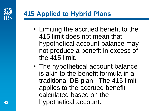

- Limiting the accrued benefit to the 415 limit does not mean that hypothetical account balance may not produce a benefit in excess of the 415 limit.
- The hypothetical account balance is akin to the benefit formula in a traditional DB plan. The 415 limit applies to the accrued benefit calculated based on the hypothetical account.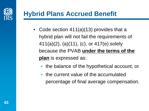

- Code section 411(a)(13) provides that a hybrid plan will not fail the requirements of 411(a)(2), (a)(11), (c), or 417(e) solely because the PVAB **under the terms of the plan** is expressed as:
	- the balance of the hypothetical account, or
	- the current value of the accumulated percentage of final average compensation.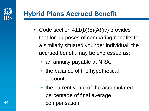

- Code section 411(b)(5)(A)(iv) provides that for purposes of comparing benefits to a similarly situated younger individual, the accrued benefit may be expressed as:
	- an annuity payable at NRA,
	- the balance of the hypothetical account, or
	- the current value of the accumulated percentage of final average compensation.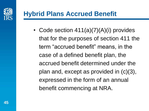

• Code section 411(a)(7)(A)(i) provides that for the purposes of section 411 the term "accrued benefit" means, in the case of a defined benefit plan, the accrued benefit determined under the plan and, except as provided in (c)(3), expressed in the form of an annual benefit commencing at NRA.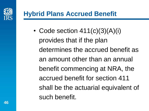

• Code section  $411(c)(3)(A)(i)$ provides that if the plan determines the accrued benefit as an amount other than an annual benefit commencing at NRA, the accrued benefit for section 411 shall be the actuarial equivalent of such benefit.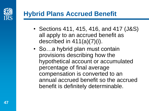

- Sections 411, 415, 416, and 417 (J&S) all apply to an accrued benefit as described in 411(a)(7)(i).
- So...a hybrid plan must contain provisions describing how the hypothetical account or accumulated percentage of final average compensation is converted to an annual accrued benefit so the accrued benefit is definitely determinable.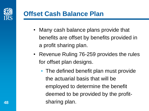

#### **Offset Cash Balance Plan**

- Many cash balance plans provide that benefits are offset by benefits provided in a profit sharing plan.
- Revenue Ruling 76-259 provides the rules for offset plan designs.
	- The defined benefit plan must provide the actuarial basis that will be employed to determine the benefit deemed to be provided by the profitsharing plan.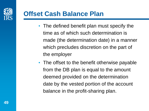

#### **Offset Cash Balance Plan**

- The defined benefit plan must specify the time as of which such determination is made (the determination date) in a manner which precludes discretion on the part of the employer
- The offset to the benefit otherwise payable from the DB plan is equal to the amount deemed provided on the determination date by the vested portion of the account balance in the profit-sharing plan.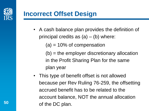

#### **Incorrect Offset Design**

• A cash balance plan provides the definition of principal credits as  $(a) - (b)$  where:

 $(a) = 10\%$  of compensation

(b) = the employer discretionary allocation in the Profit Sharing Plan for the same plan year

• This type of benefit offset is not allowed because per Rev Ruling 76-259, the offsetting accrued benefit has to be related to the account balance, NOT the annual allocation of the DC plan.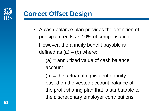

#### **Correct Offset Design**

• A cash balance plan provides the definition of principal credits as 10% of compensation. However, the annuity benefit payable is defined as  $(a) - (b)$  where:

> (a) = annuitized value of cash balance account

 $(b)$  = the actuarial equivalent annuity based on the vested account balance of the profit sharing plan that is attributable to the discretionary employer contributions.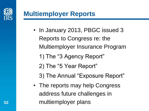

#### **Multiemployer Reports**

- In January 2013, PBGC issued 3 Reports to Congress re: the Multiemployer Insurance Program
	- 1) The "3 Agency Report"
	- 2) The "5 Year Report"
	- 3) The Annual "Exposure Report"
- The reports may help Congress address future challenges in multiemployer plans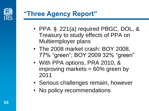

### **"Three Agency Report"**

- PPA § 221(a) required PBGC, DOL, & Treasury to study effects of PPA on Multiemployer plans
- The 2008 market crash: BOY 2008, 77% "green"; BOY 2009 32% "green"
- With PPA options, PRA 2010, & improving markets  $= 60\%$  green by 2011
- Serious challenges remain, however
- No policy recommendations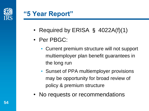

#### **"5 Year Report"**

- Required by ERISA § 4022A(f)(1)
- Per PBGC:
	- Current premium structure will not support multiemployer plan benefit guarantees in the long run
	- Sunset of PPA multiemployer provisions may be opportunity for broad review of policy & premium structure
- No requests or recommendations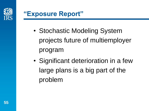

#### **"Exposure Report"**

- Stochastic Modeling System projects future of multiemployer program
- Significant deterioration in a few large plans is a big part of the problem